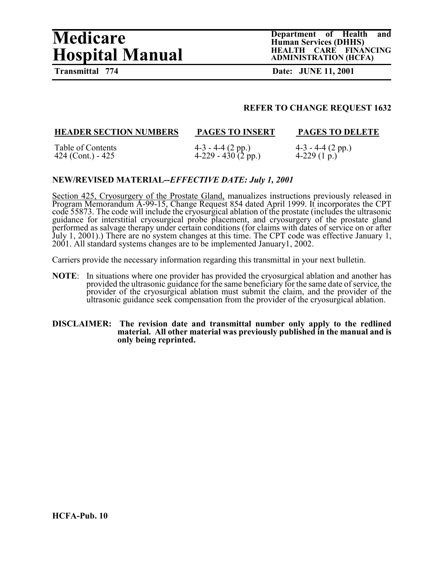# **Medicare Department of Health and <br>
Human Services (DHHS)**<br> **HEALTH CARE FINANCING Hospital Manual**

**Human Services (DHHS) ADMINISTRATION (HCFA)**

**Transmittal 774 Date: JUNE 11, 2001** 

#### **REFER TO CHANGE REQUEST 1632**

| <b>HEADER SECTION NUMBERS</b> | <b>PAGES TO INSERT</b>          | <b>PAGES TO DELETE</b> |
|-------------------------------|---------------------------------|------------------------|
| Table of Contents             | $4-3 - 4-4$ (2 pp.)             | $4-3 - 4-4 (2 pp.)$    |
| 424 (Cont.) - $425$           | $4-229 - 430(2^{2} \text{pp.})$ | 4-229 $(1 p.)$         |

#### **NEW/REVISED MATERIAL--***EFFECTIVE DATE: July 1, 2001*

Section 425, Cryosurgery of the Prostate Gland, manualizes instructions previously released in Program Memorandum A-99-15, Change Request 854 dated April 1999. It incorporates the CPT code 55873. The code will include the cryosurgical ablation of the prostate (includes the ultrasonic guidance for interstitial cryosurgical probe placement, and cryosurgery of the prostate gland performed as salvage therapy under certain conditions (for claims with dates of service on or after July 1, 2001).) There are no system changes at this time. The CPT code was effective January 1, 2001. All standard systems changes are to be implemented January1, 2002.

Carriers provide the necessary information regarding this transmittal in your next bulletin.

**NOTE**: In situations where one provider has provided the cryosurgical ablation and another has provided the ultrasonic guidance for the same beneficiary for the same date of service, the provider of the cryosurgical ablation must submit the claim, and the provider of the ultrasonic guidance seek compensation from the provider of the cryosurgical ablation.

#### **DISCLAIMER: The revision date and transmittal number only apply to the redlined material. All other material was previously published in the manual and is only being reprinted.**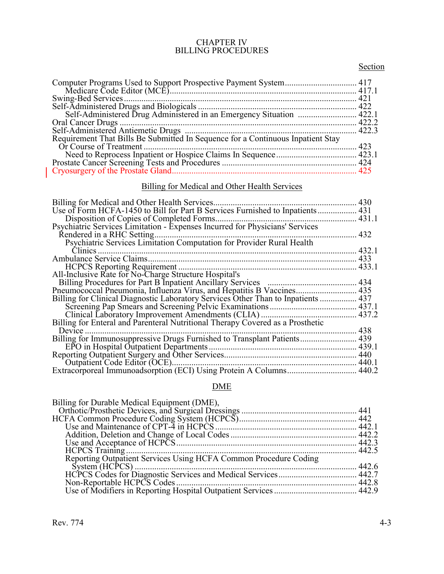#### CHAPTER IV BILLING PROCEDURES

# **Section**

| Computer Programs Used to Support Prospective Payment System 417                |     |
|---------------------------------------------------------------------------------|-----|
|                                                                                 | 421 |
|                                                                                 |     |
|                                                                                 |     |
|                                                                                 |     |
|                                                                                 |     |
| Requirement That Bills Be Submitted In Sequence for a Continuous Inpatient Stay |     |
|                                                                                 | 423 |
|                                                                                 |     |
|                                                                                 |     |
|                                                                                 |     |

# Billing for Medical and Other Health Services

| Billing for Medical and Other Health Services.                                 | 430   |
|--------------------------------------------------------------------------------|-------|
| Use of Form HCFA-1450 to Bill for Part B Services Furnished to Inpatients      | 431   |
| Disposition of Copies of Completed Forms                                       | 431.1 |
| Psychiatric Services Limitation - Expenses Incurred for Physicians' Services   |       |
| Rendered in a RHC Setting.                                                     | 432   |
| Psychiatric Services Limitation Computation for Provider Rural Health          |       |
| Clinics                                                                        | 432.1 |
|                                                                                | 433   |
| <b>HCPCS</b> Reporting Requirement.                                            | 433.1 |
| All-Inclusive Rate for No-Charge Structure Hospital's                          |       |
|                                                                                | 434   |
| Pneumococcal Pneumonia, Influenza Virus, and Hepatitis B Vaccines 435          |       |
| Billing for Clinical Diagnostic Laboratory Services Other Than to Inpatients   | 437   |
|                                                                                | 437.1 |
|                                                                                | 437.2 |
| Billing for Enteral and Parenteral Nutritional Therapy Covered as a Prosthetic |       |
| Device                                                                         | 438   |
| Billing for Immunosuppressive Drugs Furnished to Transplant Patients           | 439   |
| EPO in Hospital Outpatient Departments.                                        | 439.1 |
|                                                                                | 440   |
| Outpatient Code Editor (OCE)                                                   | 440.1 |
|                                                                                | 440.2 |

# DME

| Billing for Durable Medical Equipment (DME),                     |  |
|------------------------------------------------------------------|--|
|                                                                  |  |
|                                                                  |  |
|                                                                  |  |
|                                                                  |  |
|                                                                  |  |
|                                                                  |  |
| Reporting Outpatient Services Using HCFA Common Procedure Coding |  |
|                                                                  |  |
|                                                                  |  |
|                                                                  |  |
|                                                                  |  |

 $\begin{array}{c} \hline \end{array}$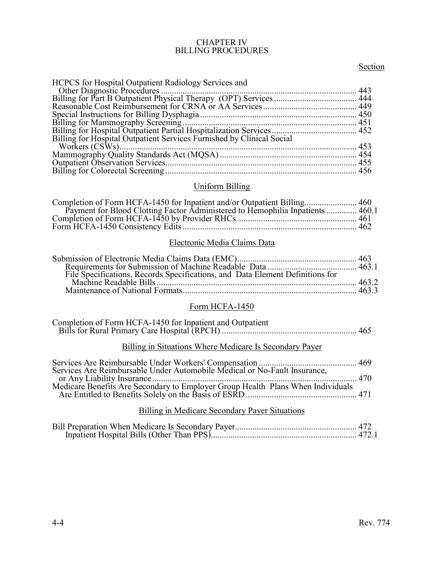#### CHAPTER IV BILLING PROCEDURES

# **Section**

| <b>HCPCS</b> for Hospital Outpatient Radiology Services and           |  |
|-----------------------------------------------------------------------|--|
|                                                                       |  |
|                                                                       |  |
|                                                                       |  |
|                                                                       |  |
|                                                                       |  |
|                                                                       |  |
| Billing for Hospital Outpatient Services Furnished by Clinical Social |  |
|                                                                       |  |
|                                                                       |  |
|                                                                       |  |
|                                                                       |  |

## Uniform Billing

| Payment for Blood Clotting Factor Administered to Hemophilia Inpatients  460.1 |  |
|--------------------------------------------------------------------------------|--|
|                                                                                |  |
|                                                                                |  |

# Electronic Media Claims Data

#### Form HCFA-1450

| <b>Billing in Situations Where Medicare Is Secondary Payer</b> |  |
|----------------------------------------------------------------|--|
|                                                                |  |
|                                                                |  |
| Billing in Medicare Secondary Payer Situations                 |  |

# Bill Preparation When Medicare Is Secondary Payer........................................................ 472 Inpatient Hospital Bills (Other Than PPS)................................................................... 472.1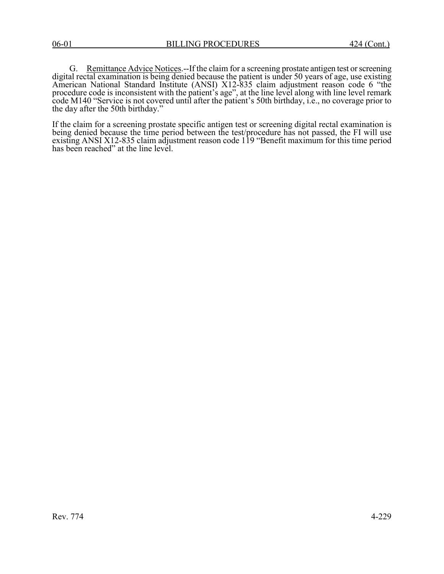G. Remittance Advice Notices.--If the claim for a screening prostate antigen test or screening digital rectal examination is being denied because the patient is under 50 years of age, use existing American National Standard Institute (ANSI) X12-835 claim adjustment reason code 6 "the procedure code is inconsistent with the patient's age", at the line level along with line level remark code M140 "Service is not covered until after the patient's 50th birthday, i.e., no coverage prior to the day after the 50th birthday."

If the claim for a screening prostate specific antigen test or screening digital rectal examination is being denied because the time period between the test/procedure has not passed, the FI will use existing ANSI X12-835 claim adjustment reason code 119 "Benefit maximum for this time period has been reached" at the line level.